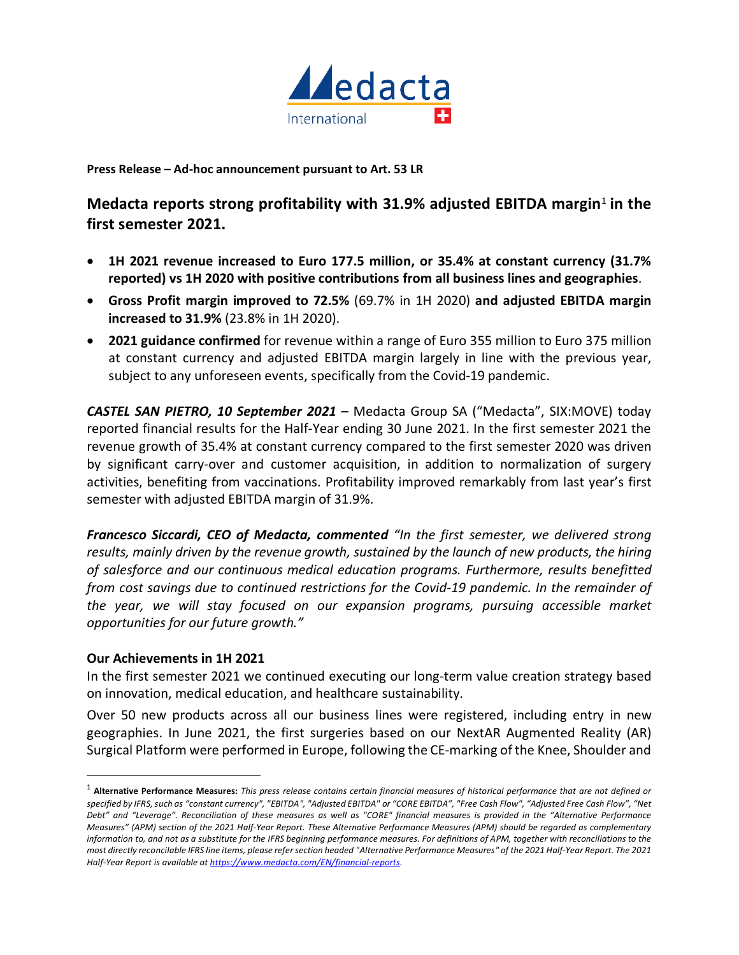

**Press Release – Ad-hoc announcement pursuant to Art. 53 LR** 

**Medacta reports strong profitability with 31.9% adjusted EBITDA margin**[1](#page-0-0) **in the first semester 2021.**

- **1H 2021 revenue increased to Euro 177.5 million, or 35.4% at constant currency (31.7% reported) vs 1H 2020 with positive contributions from all business lines and geographies**.
- **Gross Profit margin improved to 72.5%** (69.7% in 1H 2020) **and adjusted EBITDA margin increased to 31.9%** (23.8% in 1H 2020).
- **2021 guidance confirmed** for revenue within a range of Euro 355 million to Euro 375 million at constant currency and adjusted EBITDA margin largely in line with the previous year, subject to any unforeseen events, specifically from the Covid-19 pandemic.

*CASTEL SAN PIETRO, 10 September 2021 –* Medacta Group SA ("Medacta", SIX:MOVE) today reported financial results for the Half-Year ending 30 June 2021. In the first semester 2021 the revenue growth of 35.4% at constant currency compared to the first semester 2020 was driven by significant carry-over and customer acquisition, in addition to normalization of surgery activities, benefiting from vaccinations. Profitability improved remarkably from last year's first semester with adjusted EBITDA margin of 31.9%.

*Francesco Siccardi, CEO of Medacta, commented "In the first semester, we delivered strong results, mainly driven by the revenue growth, sustained by the launch of new products, the hiring of salesforce and our continuous medical education programs. Furthermore, results benefitted from cost savings due to continued restrictions for the Covid-19 pandemic. In the remainder of the year, we will stay focused on our expansion programs, pursuing accessible market opportunities for our future growth."*

# **Our Achievements in 1H 2021**

In the first semester 2021 we continued executing our long-term value creation strategy based on innovation, medical education, and healthcare sustainability.

Over 50 new products across all our business lines were registered, including entry in new geographies. In June 2021, the first surgeries based on our NextAR Augmented Reality (AR) Surgical Platform were performed in Europe, following the CE-marking of the Knee, Shoulder and

<span id="page-0-0"></span><sup>1</sup> **Alternative Performance Measures:** *This press release contains certain financial measures of historical performance that are not defined or specified by IFRS, such as "constant currency", "EBITDA", "Adjusted EBITDA" or "CORE EBITDA", "Free Cash Flow", "Adjusted Free Cash Flow", "Net Debt" and "Leverage". Reconciliation of these measures as well as "CORE" financial measures is provided in the "Alternative Performance Measures" (APM) section of the 2021 Half-Year Report. These Alternative Performance Measures (APM) should be regarded as complementary*  information to, and not as a substitute for the IFRS beginning performance measures. For definitions of APM, together with reconciliations to the most directly reconcilable IFRS line items, please refer section headed "Alternative Performance Measures" of the 2021 Half-Year Report. The 2021 *Half-Year Report is available a[t https://www.medacta.com/EN/financial-reports](https://www.medacta.com/EN/financial-reports)*.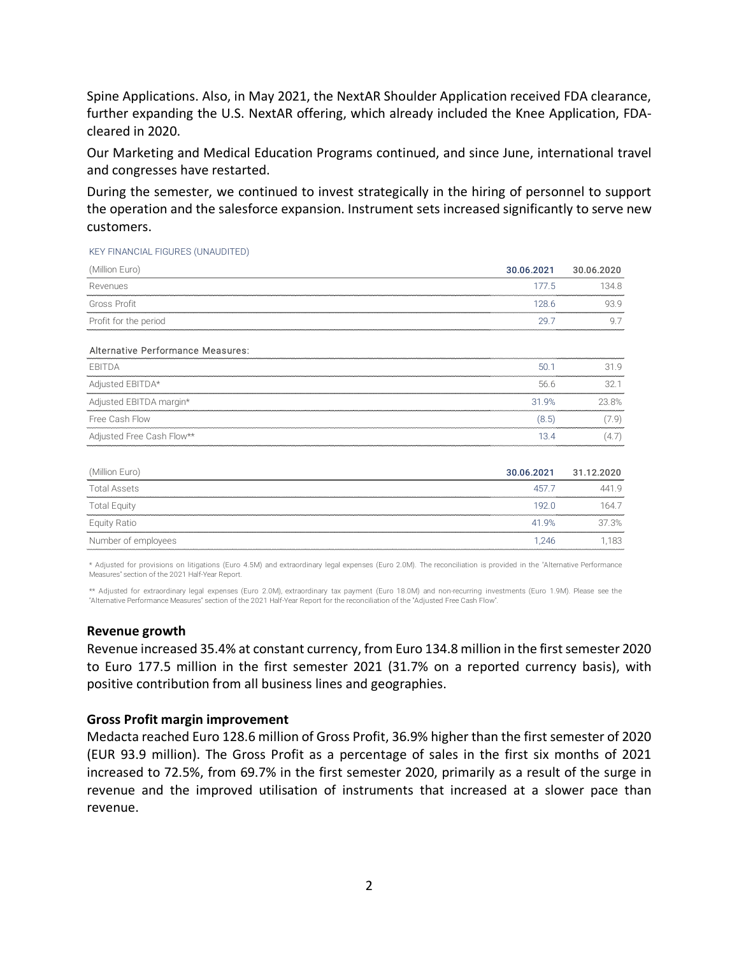Spine Applications. Also, in May 2021, the NextAR Shoulder Application received FDA clearance, further expanding the U.S. NextAR offering, which already included the Knee Application, FDAcleared in 2020.

Our Marketing and Medical Education Programs continued, and since June, international travel and congresses have restarted.

During the semester, we continued to invest strategically in the hiring of personnel to support the operation and the salesforce expansion. Instrument sets increased significantly to serve new customers.

KEY FINANCIAL FIGURES (UNAUDITED)

| (Million Euro)                    | 30.06.2021 | 30.06.2020 |
|-----------------------------------|------------|------------|
| Revenues                          | 177.5      | 134.8      |
| Gross Profit                      | 128.6      | 93.9       |
| Profit for the period             | 29.7       | 9.7        |
| Alternative Performance Measures: |            |            |
| EBITDA                            | 50.1       | 31.9       |
| Adjusted EBITDA*                  | 56.6       | 32.1       |
| Adjusted EBITDA margin*           | 31.9%      | 23.8%      |
| Free Cash Flow                    | (8.5)      | (7.9)      |
| Adjusted Free Cash Flow**         | 13.4       | (4.7)      |
| (Million Euro)                    | 30.06.2021 | 31.12.2020 |
|                                   |            |            |

| , , , , , , , , , , , , , , , , , , |        |      |
|-------------------------------------|--------|------|
| <b>Total Assets</b>                 | 15 / 1 |      |
| <b>Total Equity</b>                 | 192 N  |      |
| Equity Ratio                        | 41 9%  | 7.3% |
| Number of employees                 | 1246   | 183  |

\* Adjusted for provisions on litigations (Euro 4.5M) and extraordinary legal expenses (Euro 2.0M). The reconciliation is provided in the "Alternative Performance Measures" section of the 2021 Half-Year Report.

\*\* Adjusted for extraordinary legal expenses (Euro 2.0M), extraordinary tax payment (Euro 18.0M) and non-recurring investments (Euro 1.9M). Please see the "Alternative Performance Measures" section of the 2021 Half-Year Report for the reconciliation of the "Adjusted Free Cash Flow".

### **Revenue growth**

Revenue increased 35.4% at constant currency, from Euro 134.8 million in the first semester 2020 to Euro 177.5 million in the first semester 2021 (31.7% on a reported currency basis), with positive contribution from all business lines and geographies.

### **Gross Profit margin improvement**

Medacta reached Euro 128.6 million of Gross Profit, 36.9% higher than the first semester of 2020 (EUR 93.9 million). The Gross Profit as a percentage of sales in the first six months of 2021 increased to 72.5%, from 69.7% in the first semester 2020, primarily as a result of the surge in revenue and the improved utilisation of instruments that increased at a slower pace than revenue.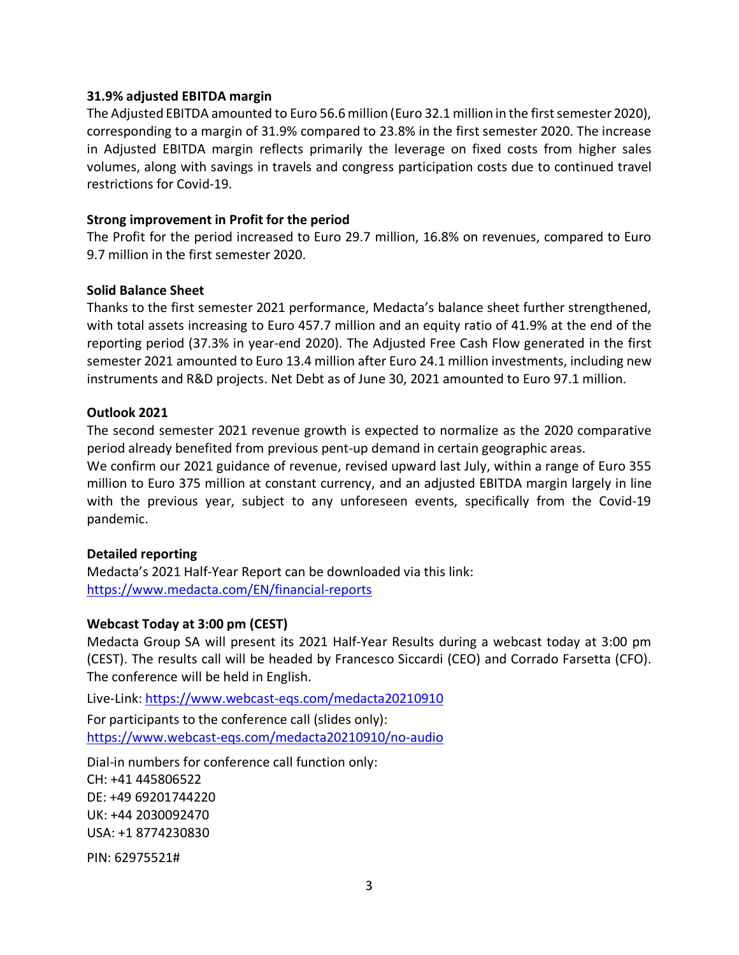## **31.9% adjusted EBITDA margin**

The Adjusted EBITDA amounted to Euro 56.6 million (Euro 32.1 million in the first semester 2020), corresponding to a margin of 31.9% compared to 23.8% in the first semester 2020. The increase in Adjusted EBITDA margin reflects primarily the leverage on fixed costs from higher sales volumes, along with savings in travels and congress participation costs due to continued travel restrictions for Covid-19.

## **Strong improvement in Profit for the period**

The Profit for the period increased to Euro 29.7 million, 16.8% on revenues, compared to Euro 9.7 million in the first semester 2020.

## **Solid Balance Sheet**

Thanks to the first semester 2021 performance, Medacta's balance sheet further strengthened, with total assets increasing to Euro 457.7 million and an equity ratio of 41.9% at the end of the reporting period (37.3% in year-end 2020). The Adjusted Free Cash Flow generated in the first semester 2021 amounted to Euro 13.4 million after Euro 24.1 million investments, including new instruments and R&D projects. Net Debt as of June 30, 2021 amounted to Euro 97.1 million.

## **Outlook 2021**

The second semester 2021 revenue growth is expected to normalize as the 2020 comparative period already benefited from previous pent-up demand in certain geographic areas. We confirm our 2021 guidance of revenue, revised upward last July, within a range of Euro 355

million to Euro 375 million at constant currency, and an adjusted EBITDA margin largely in line with the previous year, subject to any unforeseen events, specifically from the Covid-19 pandemic.

# **Detailed reporting**

Medacta's 2021 Half-Year Report can be downloaded via this link: <https://www.medacta.com/EN/financial-reports>

# **Webcast Today at 3:00 pm (CEST)**

Medacta Group SA will present its 2021 Half-Year Results during a webcast today at 3:00 pm (CEST). The results call will be headed by Francesco Siccardi (CEO) and Corrado Farsetta (CFO). The conference will be held in English.

Live-Link:<https://www.webcast-eqs.com/medacta20210910>

For participants to the conference call (slides only): <https://www.webcast-eqs.com/medacta20210910/no-audio>

Dial-in numbers for conference call function only: CH: +41 445806522 DE: +49 69201744220 UK: +44 2030092470 USA: +1 8774230830

PIN: 62975521#